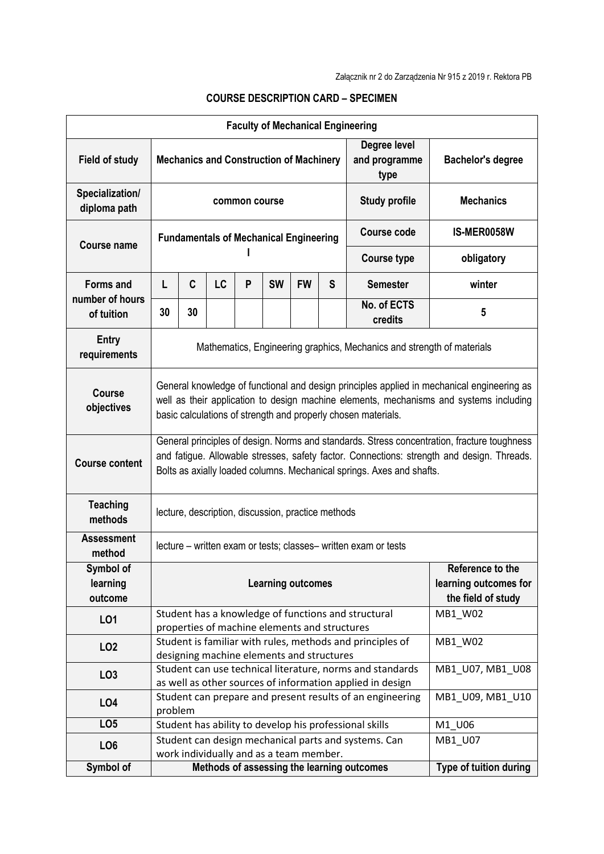| <b>Faculty of Mechanical Engineering</b>          |                                                                                                                                                                                                                                                                    |                                                                                                                   |                                                      |         |           |           |                        |                                                                                                                        |                  |
|---------------------------------------------------|--------------------------------------------------------------------------------------------------------------------------------------------------------------------------------------------------------------------------------------------------------------------|-------------------------------------------------------------------------------------------------------------------|------------------------------------------------------|---------|-----------|-----------|------------------------|------------------------------------------------------------------------------------------------------------------------|------------------|
| <b>Field of study</b>                             | Degree level<br><b>Mechanics and Construction of Machinery</b><br>and programme<br>type                                                                                                                                                                            |                                                                                                                   |                                                      |         |           |           |                        | <b>Bachelor's degree</b>                                                                                               |                  |
| Specialization/<br>diploma path                   | <b>Study profile</b><br>common course                                                                                                                                                                                                                              |                                                                                                                   |                                                      |         |           |           |                        | <b>Mechanics</b>                                                                                                       |                  |
| <b>Course name</b>                                | <b>Fundamentals of Mechanical Engineering</b>                                                                                                                                                                                                                      |                                                                                                                   |                                                      |         |           |           |                        | Course code                                                                                                            | IS-MER0058W      |
|                                                   |                                                                                                                                                                                                                                                                    |                                                                                                                   |                                                      |         |           |           |                        | <b>Course type</b>                                                                                                     | obligatory       |
| <b>Forms and</b><br>number of hours<br>of tuition | L                                                                                                                                                                                                                                                                  | C                                                                                                                 | <b>LC</b>                                            | P       | <b>SW</b> | <b>FW</b> | S                      | <b>Semester</b>                                                                                                        | winter           |
|                                                   | 30                                                                                                                                                                                                                                                                 | 30                                                                                                                |                                                      |         |           |           |                        | No. of ECTS<br>credits                                                                                                 | 5                |
| <b>Entry</b><br>requirements                      | Mathematics, Engineering graphics, Mechanics and strength of materials                                                                                                                                                                                             |                                                                                                                   |                                                      |         |           |           |                        |                                                                                                                        |                  |
| <b>Course</b><br>objectives                       | General knowledge of functional and design principles applied in mechanical engineering as<br>well as their application to design machine elements, mechanisms and systems including<br>basic calculations of strength and properly chosen materials.              |                                                                                                                   |                                                      |         |           |           |                        |                                                                                                                        |                  |
| <b>Course content</b>                             | General principles of design. Norms and standards. Stress concentration, fracture toughness<br>and fatigue. Allowable stresses, safety factor. Connections: strength and design. Threads.<br>Bolts as axially loaded columns. Mechanical springs. Axes and shafts. |                                                                                                                   |                                                      |         |           |           |                        |                                                                                                                        |                  |
| <b>Teaching</b><br>methods                        | lecture, description, discussion, practice methods                                                                                                                                                                                                                 |                                                                                                                   |                                                      |         |           |           |                        |                                                                                                                        |                  |
| <b>Assessment</b><br>method                       | lecture – written exam or tests; classes– written exam or tests                                                                                                                                                                                                    |                                                                                                                   |                                                      |         |           |           |                        |                                                                                                                        |                  |
| Symbol of<br>learning<br>outcome                  | Reference to the<br>learning outcomes for<br><b>Learning outcomes</b><br>the field of study                                                                                                                                                                        |                                                                                                                   |                                                      |         |           |           |                        |                                                                                                                        |                  |
| LO1                                               | Student has a knowledge of functions and structural<br>MB1 W02<br>properties of machine elements and structures                                                                                                                                                    |                                                                                                                   |                                                      |         |           |           |                        |                                                                                                                        |                  |
| LO <sub>2</sub>                                   |                                                                                                                                                                                                                                                                    | Student is familiar with rules, methods and principles of<br>MB1 W02<br>designing machine elements and structures |                                                      |         |           |           |                        |                                                                                                                        |                  |
| LO <sub>3</sub>                                   |                                                                                                                                                                                                                                                                    |                                                                                                                   |                                                      |         |           |           |                        | Student can use technical literature, norms and standards<br>as well as other sources of information applied in design | MB1_U07, MB1_U08 |
| LO <sub>4</sub>                                   | problem                                                                                                                                                                                                                                                            |                                                                                                                   |                                                      |         |           |           |                        | Student can prepare and present results of an engineering                                                              | MB1_U09, MB1_U10 |
| LO <sub>5</sub>                                   |                                                                                                                                                                                                                                                                    |                                                                                                                   |                                                      |         |           |           |                        | Student has ability to develop his professional skills                                                                 | M1_U06           |
| LO <sub>6</sub>                                   |                                                                                                                                                                                                                                                                    |                                                                                                                   | Student can design mechanical parts and systems. Can | MB1_U07 |           |           |                        |                                                                                                                        |                  |
|                                                   | work individually and as a team member.                                                                                                                                                                                                                            |                                                                                                                   |                                                      |         |           |           |                        |                                                                                                                        |                  |
| Symbol of                                         | Methods of assessing the learning outcomes                                                                                                                                                                                                                         |                                                                                                                   |                                                      |         |           |           | Type of tuition during |                                                                                                                        |                  |

## **COURSE DESCRIPTION CARD – SPECIMEN**